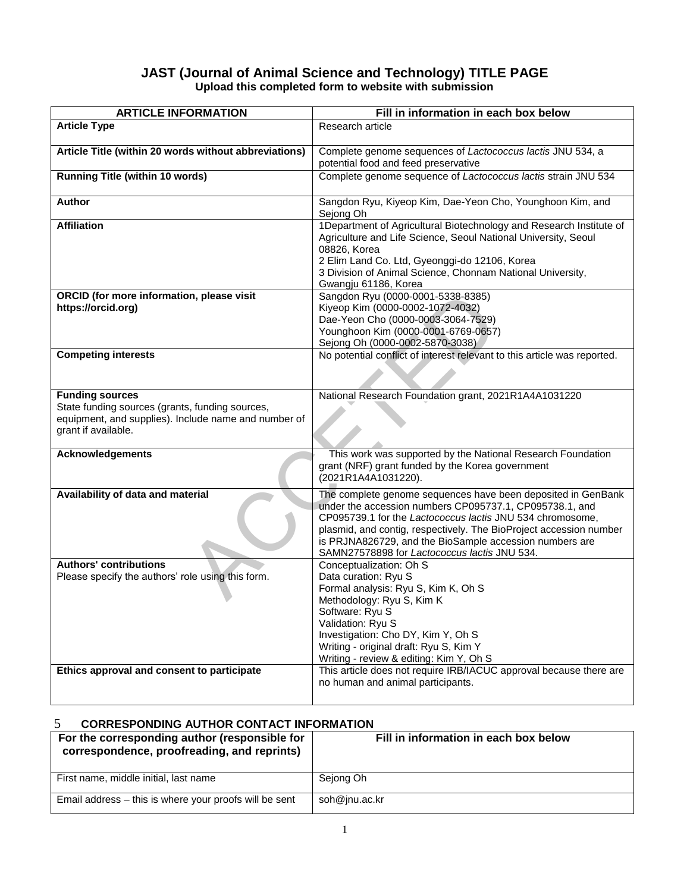## **JAST (Journal of Animal Science and Technology) TITLE PAGE Upload this completed form to website with submission**

| <b>ARTICLE INFORMATION</b>                                                                                                                               | Fill in information in each box below                                                                                                                                                                                                                                                                                                                                 |  |  |  |
|----------------------------------------------------------------------------------------------------------------------------------------------------------|-----------------------------------------------------------------------------------------------------------------------------------------------------------------------------------------------------------------------------------------------------------------------------------------------------------------------------------------------------------------------|--|--|--|
| <b>Article Type</b>                                                                                                                                      | Research article                                                                                                                                                                                                                                                                                                                                                      |  |  |  |
| Article Title (within 20 words without abbreviations)                                                                                                    | Complete genome sequences of Lactococcus lactis JNU 534, a<br>potential food and feed preservative                                                                                                                                                                                                                                                                    |  |  |  |
| <b>Running Title (within 10 words)</b>                                                                                                                   | Complete genome sequence of Lactococcus lactis strain JNU 534                                                                                                                                                                                                                                                                                                         |  |  |  |
| <b>Author</b>                                                                                                                                            | Sangdon Ryu, Kiyeop Kim, Dae-Yeon Cho, Younghoon Kim, and<br>Sejong Oh                                                                                                                                                                                                                                                                                                |  |  |  |
| <b>Affiliation</b>                                                                                                                                       | 1Department of Agricultural Biotechnology and Research Institute of<br>Agriculture and Life Science, Seoul National University, Seoul<br>08826, Korea<br>2 Elim Land Co. Ltd, Gyeonggi-do 12106, Korea<br>3 Division of Animal Science, Chonnam National University,<br>Gwangju 61186, Korea                                                                          |  |  |  |
| ORCID (for more information, please visit<br>https://orcid.org)                                                                                          | Sangdon Ryu (0000-0001-5338-8385)<br>Kiyeop Kim (0000-0002-1072-4032)<br>Dae-Yeon Cho (0000-0003-3064-7529)<br>Younghoon Kim (0000-0001-6769-0657)<br>Sejong Oh (0000-0002-5870-3038)                                                                                                                                                                                 |  |  |  |
| <b>Competing interests</b>                                                                                                                               | No potential conflict of interest relevant to this article was reported.                                                                                                                                                                                                                                                                                              |  |  |  |
| <b>Funding sources</b><br>State funding sources (grants, funding sources,<br>equipment, and supplies). Include name and number of<br>grant if available. | National Research Foundation grant, 2021R1A4A1031220                                                                                                                                                                                                                                                                                                                  |  |  |  |
| <b>Acknowledgements</b>                                                                                                                                  | This work was supported by the National Research Foundation<br>grant (NRF) grant funded by the Korea government<br>(2021R1A4A1031220).                                                                                                                                                                                                                                |  |  |  |
| <b>Availability of data and material</b>                                                                                                                 | The complete genome sequences have been deposited in GenBank<br>under the accession numbers CP095737.1, CP095738.1, and<br>CP095739.1 for the Lactococcus lactis JNU 534 chromosome,<br>plasmid, and contig, respectively. The BioProject accession number<br>is PRJNA826729, and the BioSample accession numbers are<br>SAMN27578898 for Lactococcus lactis JNU 534. |  |  |  |
| <b>Authors' contributions</b><br>Please specify the authors' role using this form.                                                                       | Conceptualization: Oh S<br>Data curation: Ryu S<br>Formal analysis: Ryu S, Kim K, Oh S<br>Methodology: Ryu S, Kim K<br>Software: Ryu S<br>Validation: Ryu S<br>Investigation: Cho DY, Kim Y, Oh S<br>Writing - original draft: Ryu S, Kim Y<br>Writing - review & editing: Kim Y, Oh S                                                                                |  |  |  |
| Ethics approval and consent to participate                                                                                                               | This article does not require IRB/IACUC approval because there are<br>no human and animal participants.                                                                                                                                                                                                                                                               |  |  |  |

#### 5 **CORRESPONDING AUTHOR CONTACT INFORMATION**

| For the corresponding author (responsible for<br>correspondence, proofreading, and reprints) | Fill in information in each box below |  |
|----------------------------------------------------------------------------------------------|---------------------------------------|--|
| First name, middle initial, last name                                                        | Sejong Oh                             |  |
| Email address – this is where your proofs will be sent                                       | soh@jnu.ac.kr                         |  |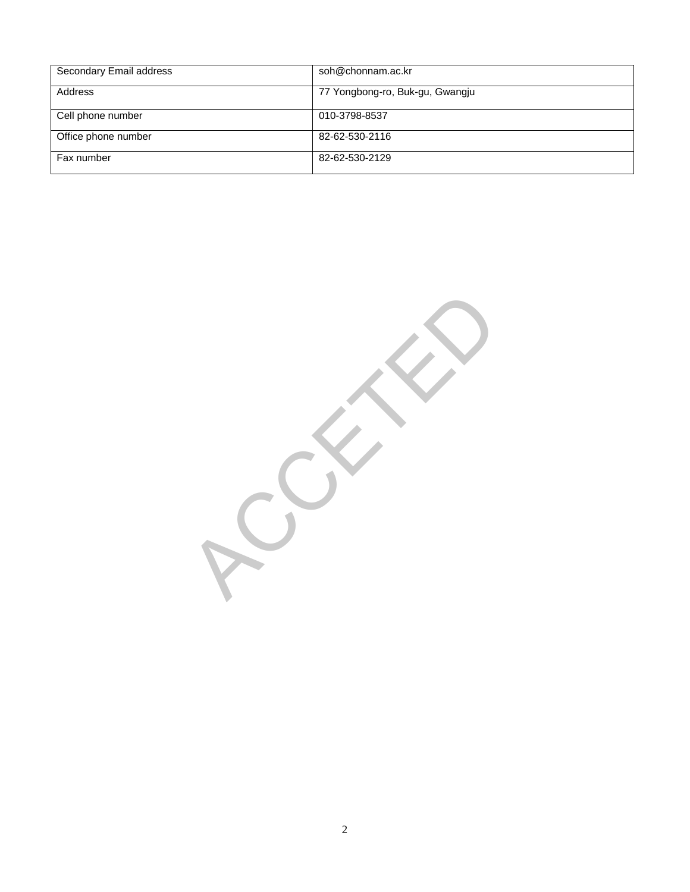| Secondary Email address | soh@chonnam.ac.kr               |
|-------------------------|---------------------------------|
| Address                 | 77 Yongbong-ro, Buk-gu, Gwangju |
| Cell phone number       | 010-3798-8537                   |
| Office phone number     | 82-62-530-2116                  |
| Fax number              | 82-62-530-2129                  |

CCETER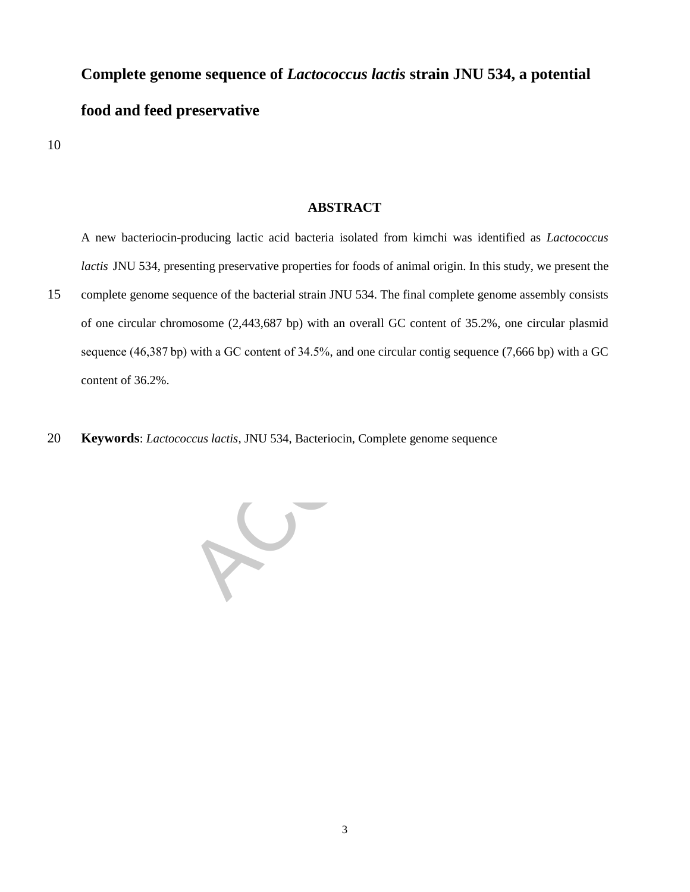# **Complete genome sequence of** *Lactococcus lactis* **strain JNU 534, a potential food and feed preservative**

10

#### **ABSTRACT**

A new bacteriocin-producing lactic acid bacteria isolated from kimchi was identified as *Lactococcus lactis* JNU 534, presenting preservative properties for foods of animal origin. In this study, we present the 15 complete genome sequence of the bacterial strain JNU 534. The final complete genome assembly consists of one circular chromosome (2,443,687 bp) with an overall GC content of 35.2%, one circular plasmid

sequence (46,387 bp) with a GC content of 34.5%, and one circular contig sequence (7,666 bp) with a GC

content of 36.2%.

20 **Keywords**: *Lactococcus lactis,* JNU 534, Bacteriocin, Complete genome sequence

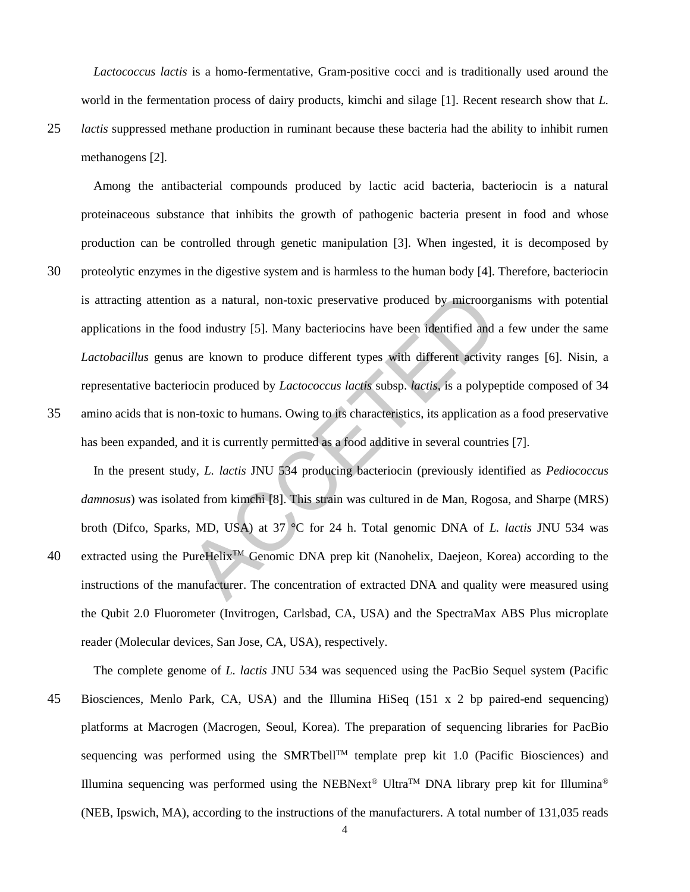*Lactococcus lactis* is a homo-fermentative, Gram-positive cocci and is traditionally used around the world in the fermentation process of dairy products, kimchi and silage [1]. Recent research show that *L.*  25 *lactis* suppressed methane production in ruminant because these bacteria had the ability to inhibit rumen methanogens [2].

Among the antibacterial compounds produced by lactic acid bacteria, bacteriocin is a natural proteinaceous substance that inhibits the growth of pathogenic bacteria present in food and whose production can be controlled through genetic manipulation [3]. When ingested, it is decomposed by 30 proteolytic enzymes in the digestive system and is harmless to the human body [4]. Therefore, bacteriocin is attracting attention as a natural, non-toxic preservative produced by microorganisms with potential applications in the food industry [5]. Many bacteriocins have been identified and a few under the same *Lactobacillus* genus are known to produce different types with different activity ranges [6]. Nisin, a representative bacteriocin produced by *Lactococcus lactis* subsp. *lactis*, is a polypeptide composed of 34 35 amino acids that is non-toxic to humans. Owing to its characteristics, its application as a food preservative

is a natural, non-toxic preservative produced by microorganis<br>
bod industry [5]. Many bacteriocins have been identified and a fe<br>
are known to produce different types with different activity rai<br>
biocin produced by *Lacto* In the present study, *L. lactis* JNU 534 producing bacteriocin (previously identified as *Pediococcus damnosus*) was isolated from kimchi [8]. This strain was cultured in de Man, Rogosa, and Sharpe (MRS) broth (Difco, Sparks, MD, USA) at 37 °C for 24 h. Total genomic DNA of *L. lactis* JNU 534 was 40 extracted using the PureHelix<sup>TM</sup> Genomic DNA prep kit (Nanohelix, Daejeon, Korea) according to the instructions of the manufacturer. The concentration of extracted DNA and quality were measured using the Qubit 2.0 Fluorometer (Invitrogen, Carlsbad, CA, USA) and the SpectraMax ABS Plus microplate reader (Molecular devices, San Jose, CA, USA), respectively.

has been expanded, and it is currently permitted as a food additive in several countries [7].

The complete genome of *L. lactis* JNU 534 was sequenced using the PacBio Sequel system (Pacific

45 Biosciences, Menlo Park, CA, USA) and the Illumina HiSeq (151 x 2 bp paired-end sequencing) platforms at Macrogen (Macrogen, Seoul, Korea). The preparation of sequencing libraries for PacBio sequencing was performed using the SMRTbell<sup>TM</sup> template prep kit 1.0 (Pacific Biosciences) and Illumina sequencing was performed using the NEBNext<sup>®</sup> Ultra<sup>TM</sup> DNA library prep kit for Illumina<sup>®</sup> (NEB, Ipswich, MA), according to the instructions of the manufacturers. A total number of 131,035 reads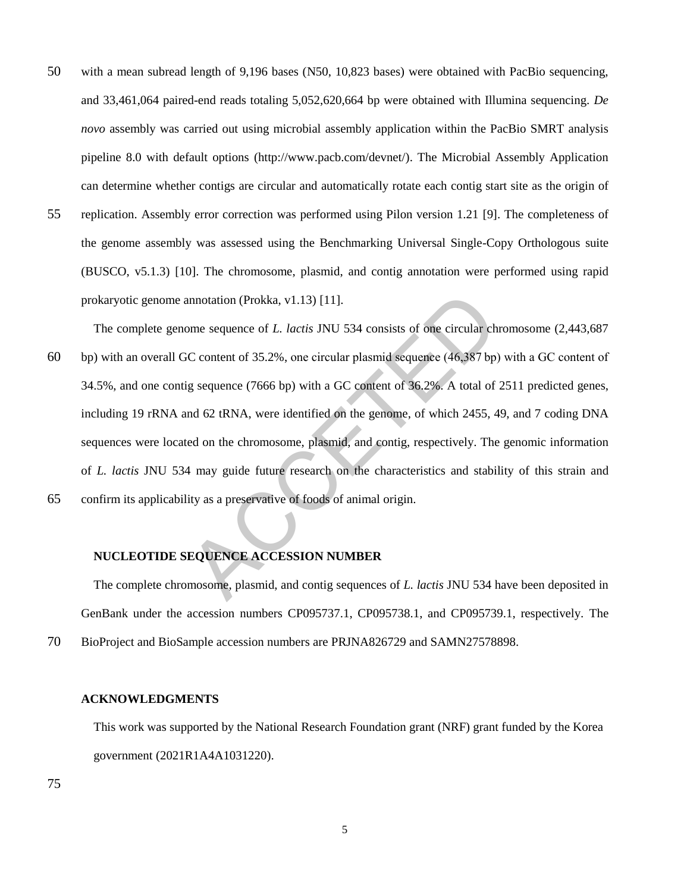- 50 with a mean subread length of 9,196 bases (N50, 10,823 bases) were obtained with PacBio sequencing, and 33,461,064 paired-end reads totaling 5,052,620,664 bp were obtained with Illumina sequencing. *De novo* assembly was carried out using microbial assembly application within the PacBio SMRT analysis pipeline 8.0 with default options (http://www.pacb.com/devnet/). The Microbial Assembly Application can determine whether contigs are circular and automatically rotate each contig start site as the origin of
- 55 replication. Assembly error correction was performed using Pilon version 1.21 [9]. The completeness of the genome assembly was assessed using the Benchmarking Universal Single-Copy Orthologous suite (BUSCO, v5.1.3) [10]. The chromosome, plasmid, and contig annotation were performed using rapid prokaryotic genome annotation (Prokka, v1.13) [11].

annotation (Prokka, v1.13) [11].<br>
Some sequence of *L. lactis* JNU 534 consists of one circular chrom<br>
C content of 35.2%, one circular plasmid sequence (46,387 bp) with<br>
g sequence (7666 bp) with a GC content of 36.2%. A The complete genome sequence of *L. lactis* JNU 534 consists of one circular chromosome (2,443,687 60 bp) with an overall GC content of 35.2%, one circular plasmid sequence (46,387 bp) with a GC content of 34.5%, and one contig sequence (7666 bp) with a GC content of 36.2%. A total of 2511 predicted genes, including 19 rRNA and 62 tRNA, were identified on the genome, of which 2455, 49, and 7 coding DNA sequences were located on the chromosome, plasmid, and contig, respectively. The genomic information of *L. lactis* JNU 534 may guide future research on the characteristics and stability of this strain and 65 confirm its applicability as a preservative of foods of animal origin.

## **NUCLEOTIDE SEQUENCE ACCESSION NUMBER**

The complete chromosome, plasmid, and contig sequences of *L. lactis* JNU 534 have been deposited in GenBank under the accession numbers CP095737.1, CP095738.1, and CP095739.1, respectively. The 70 BioProject and BioSample accession numbers are PRJNA826729 and SAMN27578898.

#### **ACKNOWLEDGMENTS**

This work was supported by the National Research Foundation grant (NRF) grant funded by the Korea government (2021R1A4A1031220).

75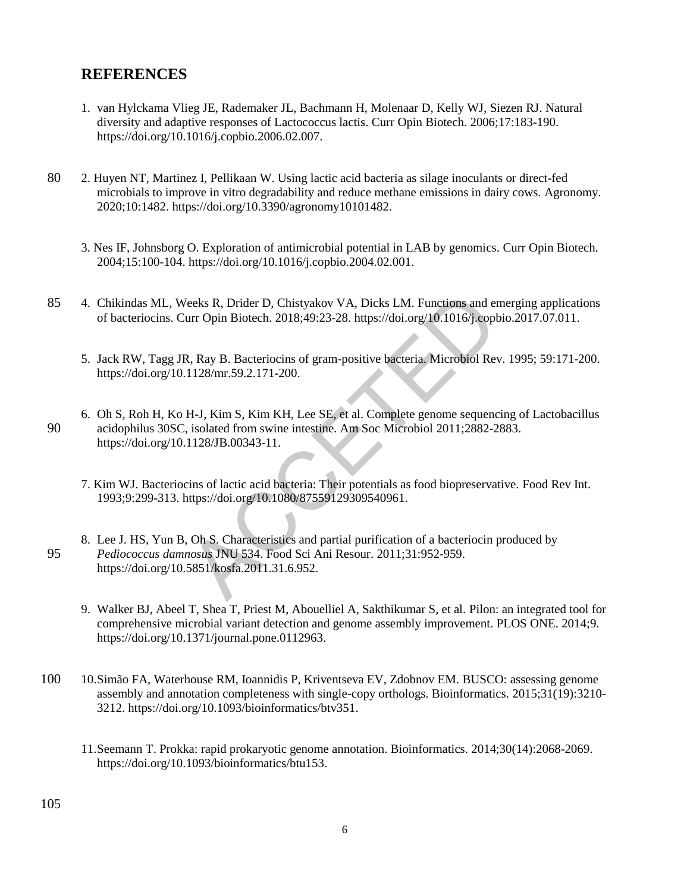# **REFERENCES**

- 1. van Hylckama Vlieg JE, Rademaker JL, Bachmann H, Molenaar D, Kelly WJ, Siezen RJ. Natural diversity and adaptive responses of Lactococcus lactis. Curr Opin Biotech. 2006;17:183-190. https://doi.org/10.1016/j.copbio.2006.02.007.
- 80 2. Huyen NT, Martinez I, Pellikaan W. Using lactic acid bacteria as silage inoculants or direct-fed microbials to improve in vitro degradability and reduce methane emissions in dairy cows. Agronomy. 2020;10:1482. https://doi.org/10.3390/agronomy10101482.
	- 3. Nes IF, Johnsborg O. Exploration of antimicrobial potential in LAB by genomics. Curr Opin Biotech. 2004;15:100-104. https://doi.org/10.1016/j.copbio.2004.02.001.
- 85 4. Chikindas ML, Weeks R, Drider D, Chistyakov VA, Dicks LM. Functions and emerging applications of bacteriocins. Curr Opin Biotech. 2018;49:23-28. https://doi.org/10.1016/j.copbio.2017.07.011.
	- 5. Jack RW, Tagg JR, Ray B. Bacteriocins of gram-positive bacteria. Microbiol Rev. 1995; 59:171-200. https://doi.org/10.1128/mr.59.2.171-200.
- 6. Oh S, Roh H, Ko H-J, Kim S, Kim KH, Lee SE, et al. Complete genome sequencing of Lactobacillus 90 acidophilus 30SC, isolated from swine intestine. Am Soc Microbiol 2011;2882-2883. https://doi.org/10.1128/JB.00343-11.
	- 7. Kim WJ. Bacteriocins of lactic acid bacteria: Their potentials as food biopreservative. Food Rev Int. 1993;9:299-313. https://doi.org/10.1080/87559129309540961.
- eeks R, Drider D, Chistyakov VA, Dicks LM. Functions and emergurr Opin Biotech. 2018;49:23-28. https://doi.org/10.1016/j.copbio.2<br>
2, Ray B. Bacteriocins of gram-positive bacteria. Microbiol Rev. 15<br>
1128/mr.59.2.171-200. 8. Lee J. HS, Yun B, Oh S. Characteristics and partial purification of a bacteriocin produced by 95 *Pediococcus damnosus* JNU 534. Food Sci Ani Resour. 2011;31:952-959. https://doi.org/10.5851/kosfa.2011.31.6.952.
	- 9. Walker BJ, Abeel T, Shea T, Priest M, Abouelliel A, Sakthikumar S, et al. Pilon: an integrated tool for comprehensive microbial variant detection and genome assembly improvement. PLOS ONE. 2014;9. https://doi.org/10.1371/journal.pone.0112963.
- 100 10.Simão FA, Waterhouse RM, Ioannidis P, Kriventseva EV, Zdobnov EM. BUSCO: assessing genome assembly and annotation completeness with single-copy orthologs. Bioinformatics. 2015;31(19):3210- 3212. https://doi.org/10.1093/bioinformatics/btv351.
	- 11.Seemann T. Prokka: rapid prokaryotic genome annotation. Bioinformatics. 2014;30(14):2068-2069. https://doi.org/10.1093/bioinformatics/btu153.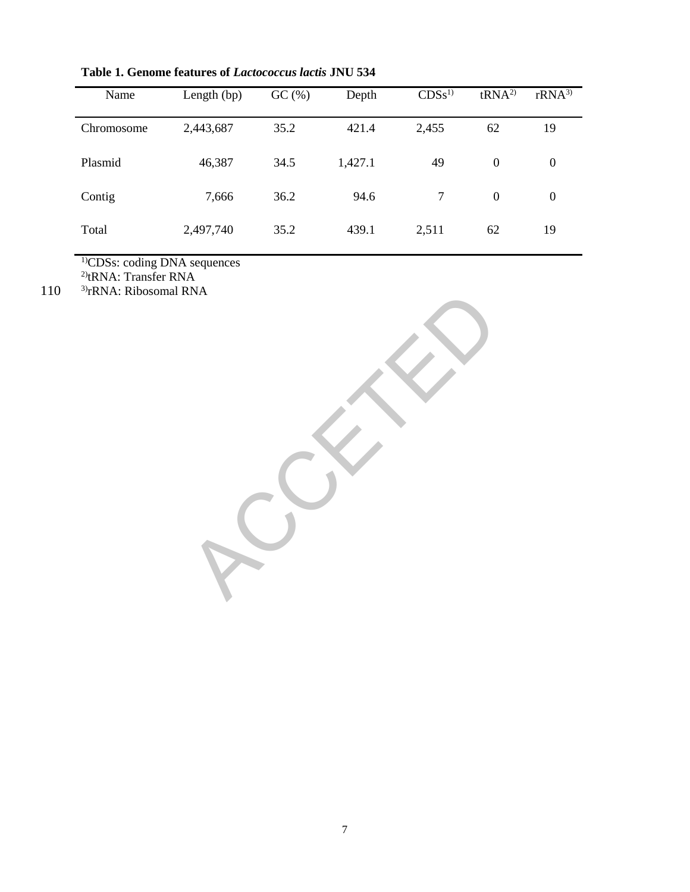| Name       | Length (bp) | GC (%) | Depth   | CDSs <sup>1</sup> | tRNA <sup>2</sup> | $rRNA^{3}$       |
|------------|-------------|--------|---------|-------------------|-------------------|------------------|
| Chromosome | 2,443,687   | 35.2   | 421.4   | 2,455             | 62                | 19               |
| Plasmid    | 46,387      | 34.5   | 1,427.1 | 49                | $\overline{0}$    | $\boldsymbol{0}$ |
| Contig     | 7,666       | 36.2   | 94.6    | 7                 | $\overline{0}$    | $\overline{0}$   |
| Total      | 2,497,740   | 35.2   | 439.1   | 2,511             | 62                | 19               |

**Table 1. Genome features of** *Lactococcus lactis* **JNU 534**

<sup>1)</sup>CDSs: coding DNA sequences

2)tRNA: Transfer RNA

RECK 110 <sup>3)</sup> rRNA: Ribosomal RNA